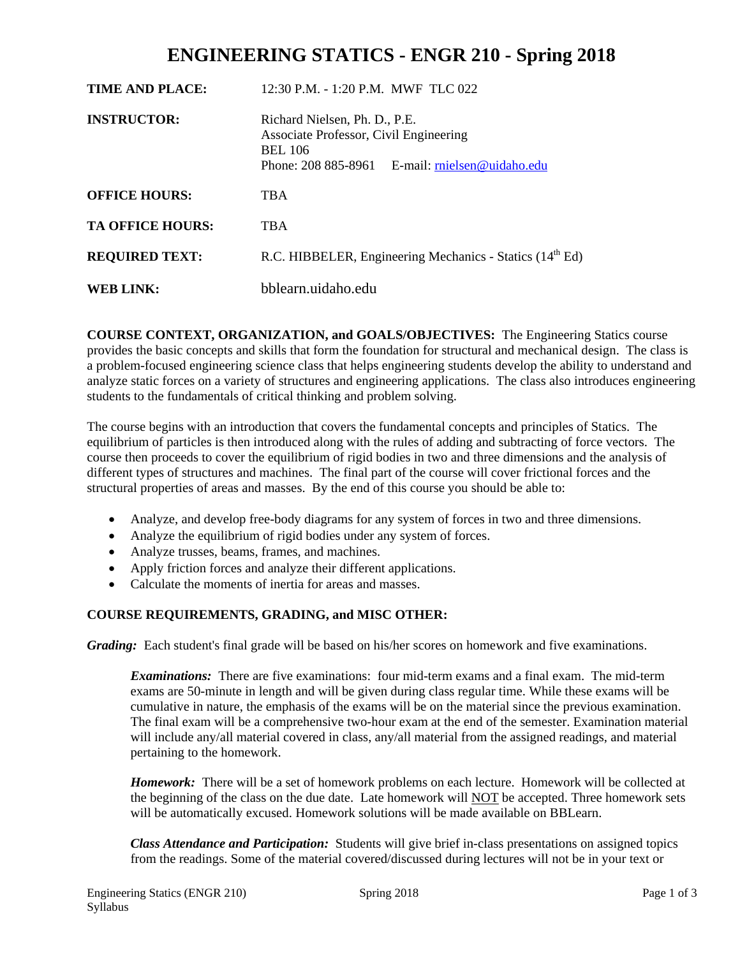# **ENGINEERING STATICS - ENGR 210 - Spring 2018**

| TIME AND PLACE:         | $12:30$ P.M. - 1:20 P.M. MWF TLC 022                                                                                                        |  |
|-------------------------|---------------------------------------------------------------------------------------------------------------------------------------------|--|
| <b>INSTRUCTOR:</b>      | Richard Nielsen, Ph. D., P.E.<br>Associate Professor, Civil Engineering<br><b>BEL 106</b><br>Phone: 208 885-8961 E-mail: mielsen@uidaho.edu |  |
| <b>OFFICE HOURS:</b>    | <b>TBA</b>                                                                                                                                  |  |
| <b>TA OFFICE HOURS:</b> | <b>TBA</b>                                                                                                                                  |  |
| <b>REQUIRED TEXT:</b>   | R.C. HIBBELER, Engineering Mechanics - Statics (14 <sup>th</sup> Ed)                                                                        |  |
| <b>WEB LINK:</b>        | bblearn.uidaho.edu                                                                                                                          |  |

**COURSE CONTEXT, ORGANIZATION, and GOALS/OBJECTIVES:** The Engineering Statics course provides the basic concepts and skills that form the foundation for structural and mechanical design. The class is a problem-focused engineering science class that helps engineering students develop the ability to understand and analyze static forces on a variety of structures and engineering applications. The class also introduces engineering students to the fundamentals of critical thinking and problem solving.

The course begins with an introduction that covers the fundamental concepts and principles of Statics. The equilibrium of particles is then introduced along with the rules of adding and subtracting of force vectors. The course then proceeds to cover the equilibrium of rigid bodies in two and three dimensions and the analysis of different types of structures and machines. The final part of the course will cover frictional forces and the structural properties of areas and masses. By the end of this course you should be able to:

- Analyze, and develop free-body diagrams for any system of forces in two and three dimensions.
- Analyze the equilibrium of rigid bodies under any system of forces.
- Analyze trusses, beams, frames, and machines.
- Apply friction forces and analyze their different applications.
- Calculate the moments of inertia for areas and masses.

### **COURSE REQUIREMENTS, GRADING, and MISC OTHER:**

*Grading:* Each student's final grade will be based on his/her scores on homework and five examinations.

*Examinations:* There are five examinations: four mid-term exams and a final exam. The mid-term exams are 50-minute in length and will be given during class regular time. While these exams will be cumulative in nature, the emphasis of the exams will be on the material since the previous examination. The final exam will be a comprehensive two-hour exam at the end of the semester. Examination material will include any/all material covered in class, any/all material from the assigned readings, and material pertaining to the homework.

*Homework:* There will be a set of homework problems on each lecture. Homework will be collected at the beginning of the class on the due date. Late homework will NOT be accepted. Three homework sets will be automatically excused. Homework solutions will be made available on BBLearn.

*Class Attendance and Participation:* Students will give brief in-class presentations on assigned topics from the readings. Some of the material covered/discussed during lectures will not be in your text or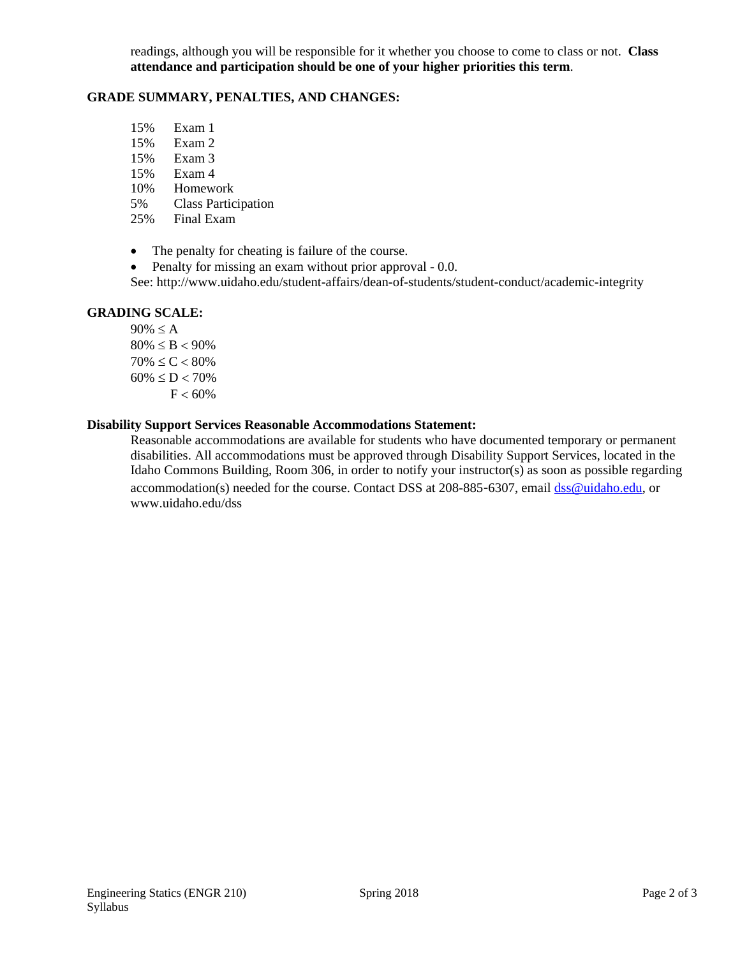readings, although you will be responsible for it whether you choose to come to class or not. **Class attendance and participation should be one of your higher priorities this term**.

#### **GRADE SUMMARY, PENALTIES, AND CHANGES:**

- 15% Exam 1
- 15% Exam 2
- 15% Exam 3
- 15% Exam 4
- 10% Homework
- 5% Class Participation<br>25% Final Exam
- Final Exam
- The penalty for cheating is failure of the course.
- Penalty for missing an exam without prior approval 0.0.

See: http://www.uidaho.edu/student-affairs/dean-of-students/student-conduct/academic-integrity

#### **GRADING SCALE:**

 $90\% \leq A$  $80\% \leq B < 90\%$  $70\% \leq C < 80\%$  $60\% \le D < 70\%$  $F < 60\%$ 

#### **Disability Support Services Reasonable Accommodations Statement:**

Reasonable accommodations are available for students who have documented temporary or permanent disabilities. All accommodations must be approved through Disability Support Services, located in the Idaho Commons Building, Room 306, in order to notify your instructor(s) as soon as possible regarding accommodation(s) needed for the course. Contact DSS at 208-885-6307, email dss@uidaho.edu, or www.uidaho.edu/dss